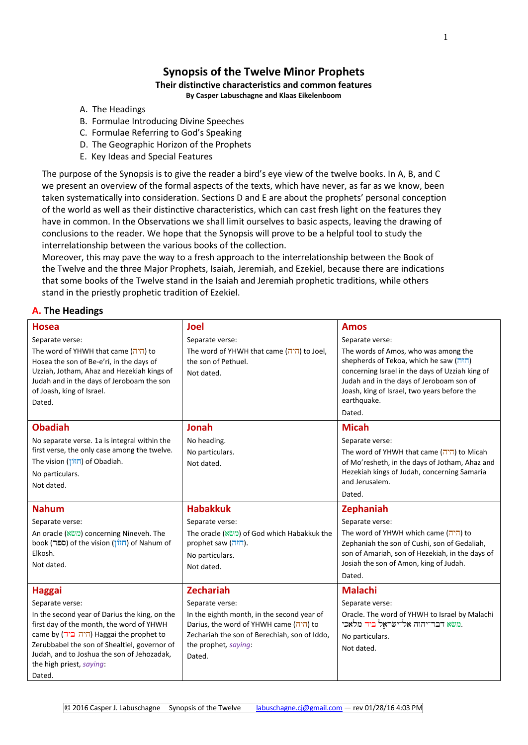# **Synopsis of the Twelve Minor Prophets**

# **Their distinctive characteristics and common features**

**By Casper Labuschagne and Klaas Eikelenboom**

- A. The Headings
- B. Formulae Introducing Divine Speeches
- C. Formulae Referring to God's Speaking
- D. The Geographic Horizon of the Prophets
- E. Key Ideas and Special Features

The purpose of the Synopsis is to give the reader a bird's eye view of the twelve books. In A, B, and C we present an overview of the formal aspects of the texts, which have never, as far as we know, been taken systematically into consideration. Sections D and E are about the prophets' personal conception of the world as well as their distinctive characteristics, which can cast fresh light on the features they have in common. In the Observations we shall limit ourselves to basic aspects, leaving the drawing of conclusions to the reader. We hope that the Synopsis will prove to be a helpful tool to study the interrelationship between the various books of the collection.

Moreover, this may pave the way to a fresh approach to the interrelationship between the Book of the Twelve and the three Major Prophets, Isaiah, Jeremiah, and Ezekiel, because there are indications that some books of the Twelve stand in the Isaiah and Jeremiah prophetic traditions, while others stand in the priestly prophetic tradition of Ezekiel.

### **A. The Headings**

| <b>Hosea</b>                                  | <b>Joel</b>                                  | <b>Amos</b>                                                   |
|-----------------------------------------------|----------------------------------------------|---------------------------------------------------------------|
| Separate verse:                               | Separate verse:                              | Separate verse:                                               |
| The word of YHWH that came (היה) to           | The word of YHWH that came (היה) to Joel,    | The words of Amos, who was among the                          |
| Hosea the son of Be-e'ri, in the days of      | the son of Pethuel.                          | shepherds of Tekoa, which he saw (חזה)                        |
| Uzziah, Jotham, Ahaz and Hezekiah kings of    | Not dated.                                   | concerning Israel in the days of Uzziah king of               |
| Judah and in the days of Jeroboam the son     |                                              | Judah and in the days of Jeroboam son of                      |
| of Joash, king of Israel.                     |                                              | Joash, king of Israel, two years before the<br>earthquake.    |
| Dated.                                        |                                              | Dated.                                                        |
|                                               |                                              |                                                               |
| <b>Obadiah</b>                                | <b>Jonah</b>                                 | <b>Micah</b>                                                  |
| No separate verse. 1a is integral within the  | No heading.                                  | Separate verse:                                               |
| first verse, the only case among the twelve.  | No particulars.                              | The word of YHWH that came (היה) to Micah                     |
| The vision (חזוֹן) of Obadiah.                | Not dated.                                   | of Mo'resheth, in the days of Jotham, Ahaz and                |
| No particulars.                               |                                              | Hezekiah kings of Judah, concerning Samaria<br>and Jerusalem. |
| Not dated.                                    |                                              |                                                               |
|                                               |                                              | Dated.                                                        |
| <b>Nahum</b>                                  | <b>Habakkuk</b>                              | Zephaniah                                                     |
| Separate verse:                               | Separate verse:                              | Separate verse:                                               |
| An oracle (משא) concerning Nineveh. The       | The oracle (משא) of God which Habakkuk the   | The word of YHWH which came (היה) to                          |
| book (ספר) of the vision (חזון) of Nahum of   | prophet saw (חזה).                           | Zephaniah the son of Cushi, son of Gedaliah,                  |
| Elkosh.                                       | No particulars.                              | son of Amariah, son of Hezekiah, in the days of               |
| Not dated.                                    | Not dated.                                   | Josiah the son of Amon, king of Judah.                        |
|                                               |                                              | Dated.                                                        |
| <b>Haggai</b>                                 | <b>Zechariah</b>                             | <b>Malachi</b>                                                |
| Separate verse:                               | Separate verse:                              | Separate verse:                                               |
| In the second year of Darius the king, on the | In the eighth month, in the second year of   | Oracle. The word of YHWH to Israel by Malachi                 |
| first day of the month, the word of YHWH      | Darius, the word of YHWH came (היה) to       | משא דבר־יהוה אל־ישראָל ביד מלאכי.                             |
| came by (היה ביד) Haggai the prophet to       | Zechariah the son of Berechiah, son of Iddo, | No particulars.                                               |
| Zerubbabel the son of Shealtiel, governor of  | the prophet, saying:                         | Not dated.                                                    |
| Judah, and to Joshua the son of Jehozadak,    |                                              |                                                               |
| the high priest, saying:                      | Dated.                                       |                                                               |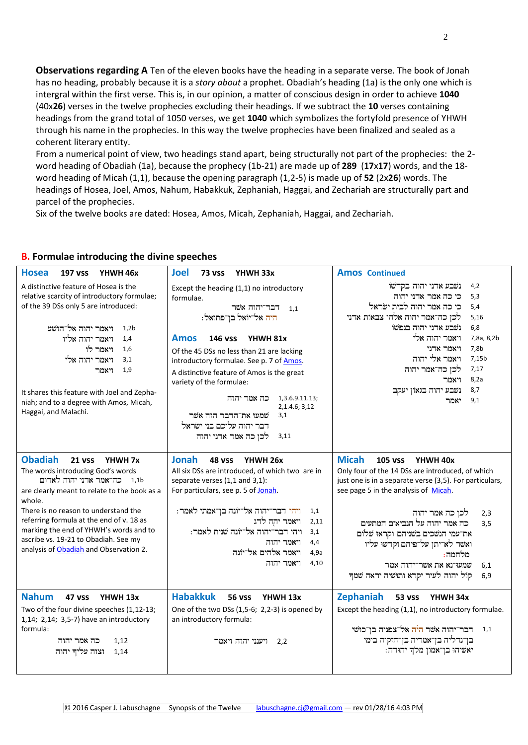**Observations regarding A** Ten of the eleven books have the heading in a separate verse. The book of Jonah has no heading, probably because it is a *story about* a prophet. Obadiah's heading (1a) is the only one which is intergral within the first verse. This is, in our opinion, a matter of conscious design in order to achieve **1040** (40x**26**) verses in the twelve prophecies excluding their headings. If we subtract the **10** verses containing headings from the grand total of 1050 verses, we get **1040** which symbolizes the fortyfold presence of YHWH through his name in the prophecies. In this way the twelve prophecies have been finalized and sealed as a coherent literary entity.

From a numerical point of view, two headings stand apart, being structurally not part of the prophecies: the 2 word heading of Obadiah (1a), because the prophecy (1b-21) are made up of **289** (**17**x**17**) words, and the 18 word heading of Micah (1,1), because the opening paragraph (1,2-5) is made up of **52** (2x**26**) words. The headings of Hosea, Joel, Amos, Nahum, Habakkuk, Zephaniah, Haggai, and Zechariah are structurally part and parcel of the prophecies.

Six of the twelve books are dated: Hosea, Amos, Micah, Zephaniah, Haggai, and Zechariah.

#### **Hosea 197 vss YHWH 46x Joel 73 vss YHWH 33x Amos Continued** A distinctive feature of Hosea is the relative scarcity of introductory formulae; of the 39 DSs only 5 are introduced: ויאמר יהוה אל־הושע 1,2b ויאמר יהוה אליו  $1.4\,$ 1,6 ויאמר לו 3,1 ויאמר יהוה אלי 1.9 ויאמר It shares this feature with Joel and Zephaniah; and to a degree with Amos, Micah, Haggai, and Malachi. Except the heading (1,1) no introductory formulae. רבר־יהוה אשר  $_{\rm 1,1}$ היה אל־יואל בן־פתואל: **Amos 146 vss YHWH 81x** Of the 45 DSs no less than 21 are lacking introductory formulae. See p. 7 of Amos. A distinctive feature of Amos is the great variety of the formulae: 1,3.6.9.11.13; 2,1.4.6; 3,12 שמעו את־הדבר הזה אשר דבר יהוה עליכם בני ישׂראל 3,1 3,11 - לכן כה אמר אדני יהוה 4,2 נשבע אדני יהוה בקדשו 5,3 כי כה אמר אדני יהוה 5,4 כי כה אמר יהוה לבית ישראל 5,16 - לכן כה־אמר יהוה אלהי צבאות אדני 6,8 נשבע אדני יהוה בנפשו 7,8a, 8,2b 1. ויאמר יהוה אלי יאמר אדני $7,8b$ 7,15b - ויאמר אלי יהוה 7,17 לכן כה־אמר יהוה 8.2a ויאמר 8,7 נשבע יהוה בגאון יעקב 9.1 יאמר **Obadiah 21 vss YHWH 7x Jonah 48 vss YHWH 26x Micah 105 vss YHWH 40x** The words introducing God's words 1,1b – כה־אמר אדני יהוה לאדום are clearly meant to relate to the book as a whole. There is no reason to understand the referring formula at the end of v. 18 as marking the end of YHWH's words and to ascribe vs. 19-21 to Obadiah. See my analysis o[f Obadiah](http://www.labuschagne.nl/prophets/Obadiah.pdf) and Observation 2. All six DSs are introduced, of which two are in separate verses (1,1 and 3,1): For particulars, see p. 5 o[f Jonah.](http://www.labuschagne.nl/prophets/Jonah.pdf) 1,1 – ויהי דבר־יהוה אל־יונה בן־אמתי לאמר: 2,11 ויאמר יהה לדג 3,1 ויהי דבר־יהוה אל־יונה שנית לאמר: ויאמר יהוה  $4,4$ 4,9a ויאמר אלהים אל־יונה ויאמר יהוה  $4,10$ Only four of the 14 DSs are introduced, of which just one is in a separate verse (3,5). For particulars, see page 5 in the analysis of [Micah.](http://www.labuschagne.nl/prophets/Micah.pdf) 2,3 לכן כה אמר יהוה 3.5 – כה אמר יהוה על הנביאים המתעים את־עמי הנשכים בשניהם וקראוּ שלום ואשר לא־יתן על־פיהם וקדשוּ עליו מלחמה: שמעו־נא את אשר־יהוה אמר  $6.1$ 6,9 – קול יהוה לעיר יקרא ותושיה יראה שמך **Nahum 47 vss YHWH 13x Habakkuk 56 vss YHWH 13x Zephaniah 53 vss YHWH 34x** Two of the four divine speeches (1,12-13; 1,14; 2,14; 3,5-7) have an introductory formula: 1,12 כה אמר יהוה 1,14 – וצוה עליך יהוה One of the two DSs (1,5-6; 2,2-3) is opened by an introductory formula: 2,2 ויענני יהוה ויאמר Except the heading (1,1), no introductory formulae. 1,1 – דבר־יהוה אשר היה אל־צפניה בן־כוּשׁי בן־גדליה בן־אמריה בן־חזקיה בימי יאשיהו בן־אמון מלך יהודה:

# **B. Formulae introducing the divine speeches**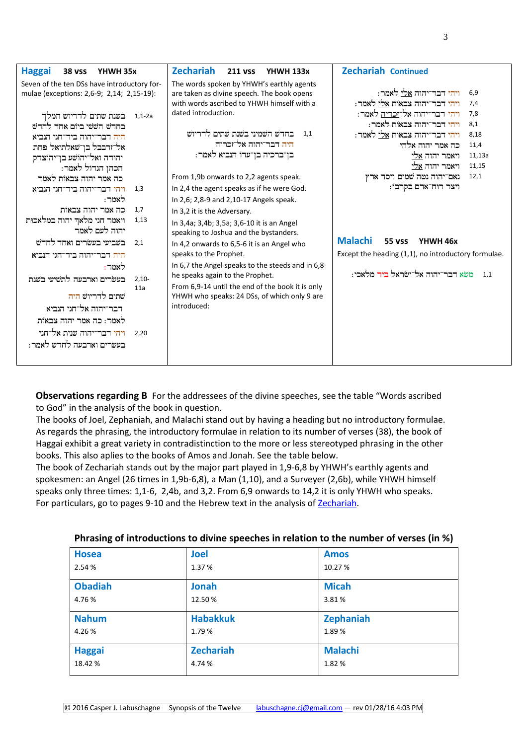| Seven of the ten DSs have introductory for-<br>The words spoken by YHWH's earthly agents<br>ויהי דבר־יהוה <u>אלי</u> לאמר:<br>6,9<br>mulae (exceptions: 2,6-9; 2,14; 2,15-19):<br>are taken as divine speech. The book opens<br>ויהי דבר־יהוה צבאות <u>אלי</u> לאמר:<br>with words ascribed to YHWH himself with a<br>7,4<br>ויהי דבר־יהוה אל־ <u>זכריה</u> לאמר:<br>dated introduction.<br>7,8<br>1,1-2a – בשנת שתים לדריוש המלך<br>ויהי דבר־יהוה צבאות לאמר:<br>8,1<br>בחרש הששי ביום אחר לחרש<br>בחרש השמיני בשנת שתים לדריוש<br>1.1<br>ויהי דבר־יהוה צבאות <u>אלי</u> לאמר:<br>8,18<br>היה דבר־יהוה ביד־חגי הנביא<br>היה דבר־יהוה אל־זכריה<br>כה אמר יהוה אלהי<br>11,4<br>אל־זרבבל בן־שאלתיאל פחת<br>בן־ברכיה בן־עדו הנביא לאמר:<br>ויאמר יהוה אלי<br>11,13a<br>יהודה ואל־יהושע בן־יהוצדק<br>ויאמר יהוה אלי<br>11,15<br>הכהן הגרול לאמר:<br>נאם־יהוה נטה שמים ויסד ארץ<br>12,1<br>From 1,9b onwards to 2,2 agents speak.<br>כה אמר יהוה צבאות לאמר<br>ויצר רוח־אדם בקרבו:<br>In 2,4 the agent speaks as if he were God.<br>ויהי דבר־יהוה ביד־חגי הנביא<br>1,3<br>לאמר:<br>In 2,6; 2,8-9 and 2,10-17 Angels speak.<br>כה אמר יהוה צבאות<br>1.7<br>In 3,2 it is the Adversary. |
|----------------------------------------------------------------------------------------------------------------------------------------------------------------------------------------------------------------------------------------------------------------------------------------------------------------------------------------------------------------------------------------------------------------------------------------------------------------------------------------------------------------------------------------------------------------------------------------------------------------------------------------------------------------------------------------------------------------------------------------------------------------------------------------------------------------------------------------------------------------------------------------------------------------------------------------------------------------------------------------------------------------------------------------------------------------------------------------------------------------------------------------------------------------------------------|
| ויאמר חגי מלאך יהוה במלאכות<br>1,13<br>In 3,4a; 3,4b; 3,5a; 3,6-10 it is an Angel<br>יהוה לעם לאמר<br>speaking to Joshua and the bystanders.<br><b>Malachi</b><br><b>55 vss</b><br>YHWH 46x<br>בשביעי בעשרים ואחד לחדש<br>2.1<br>In 4,2 onwards to 6,5-6 it is an Angel who<br>speaks to the Prophet.<br>Except the heading (1,1), no introductory formulae.<br>היה דבר־יהוה ביד־חגי הנביא<br>In 6,7 the Angel speaks to the steeds and in 6,8<br>לאמר:<br>משא דבר־יהוה אל־ישראל ביד מלאכי:<br>1.1<br>he speaks again to the Prophet.<br>בעשרים וארבעה לתשיעי בשנת<br>$2,10-$<br>From 6,9-14 until the end of the book it is only<br>11a<br>שתים לדריוש היה<br>YHWH who speaks: 24 DSs, of which only 9 are<br>introduced:<br>דבר־יהוה אל־חגי הנביא<br>לאמר: כה אמר יהוה צבאות<br>ויהי דבר־יהוה שנית אל־חגי<br>2,20<br>בעשרים וארבעה לחדש לאמר:                                                                                                                                                                                                                                                                                                                                  |

**Observations regarding B** For the addressees of the divine speeches, see the table "Words ascribed to God" in the analysis of the book in question.

The books of Joel, Zephaniah, and Malachi stand out by having a heading but no introductory formulae. As regards the phrasing, the introductory formulae in relation to its number of verses (38), the book of Haggai exhibit a great variety in contradistinction to the more or less stereotyped phrasing in the other books. This also aplies to the books of Amos and Jonah. See the table below.

The book of Zechariah stands out by the major part played in 1,9-6,8 by YHWH's earthly agents and spokesmen: an Angel (26 times in 1,9b-6,8), a Man (1,10), and a Surveyer (2,6b), while YHWH himself speaks only three times: 1,1-6, 2,4b, and 3,2. From 6,9 onwards to 14,2 it is only YHWH who speaks. For particulars, go to pages 9-10 and the Hebrew text in the analysis o[f Zechariah.](http://www.labuschagne.nl/prophets/Zechariah.pdf)

| <b>Hosea</b>   | <b>Joel</b>      | <b>Amos</b>      |
|----------------|------------------|------------------|
| 2.54 %         | 1.37 %           | 10.27 %          |
| <b>Obadiah</b> | <b>Jonah</b>     | <b>Micah</b>     |
| 4.76 %         | 12.50%           | 3.81%            |
| <b>Nahum</b>   | <b>Habakkuk</b>  | <b>Zephaniah</b> |
| 4.26%          | 1.79%            | 1.89%            |
| <b>Haggai</b>  | <b>Zechariah</b> | <b>Malachi</b>   |
| 18.42 %        | 4.74 %           | 1.82%            |

#### **Phrasing of introductions to divine speeches in relation to the number of verses (in %)**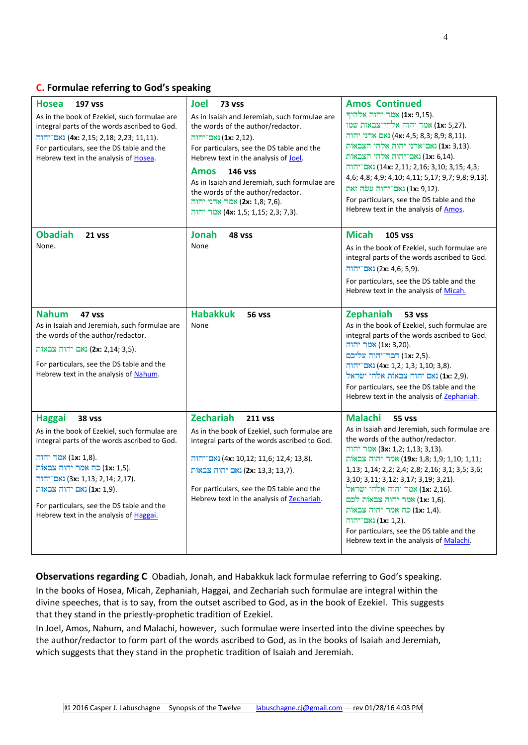#### **C. Formulae referring to God's speaking**

| <b>Hosea</b><br><b>197 vss</b><br>As in the book of Ezekiel, such formulae are<br>integral parts of the words ascribed to God.<br>$\frac{1}{2}$ (4x: 2,15; 2,18; 2,23; 11,11).<br>For particulars, see the DS table and the<br>Hebrew text in the analysis of Hosea.                                                                           | Joel<br><b>73 vss</b><br>As in Isaiah and Jeremiah, such formulae are<br>the words of the author/redactor.<br>והוה (1x: 2,12).<br>For particulars, see the DS table and the<br>Hebrew text in the analysis of Joel.<br>Amos<br><b>146 VSS</b><br>As in Isaiah and Jeremiah, such formulae are<br>the words of the author/redactor.<br>והוה ארני יהוה (2x: 1,8; 7,6).<br>אמר יהוה (4x: 1,5; 1,15; 2,3; 7,3). | <b>Amos Continued</b><br>אמר יהוה אלהיך (1x: 9,15).<br>ומוֹ (1x: 5,27) אמר יהוה אלהי־צבאוֹת שׁמוֹ<br>ואם ארני יהוה (4x: 4,5; 8,3; 8,9; 8,11).<br>נאם־אדני יהוה אלהי הצבאות) (1x: 3,13).<br>.1x: 6,14) נאם־יהוה אלהי הצבאות<br>נאם־יהוה (14x: 2,11; 2,16; 3,10; 3,15; 4,3;<br>4,6; 4,8; 4,9; 4,10; 4,11; 5,17; 9,7; 9,8; 9,13).<br>.(1x: 9,12) נאם־יהוה עשה זאת<br>For particulars, see the DS table and the<br>Hebrew text in the analysis of Amos.                                                                   |
|------------------------------------------------------------------------------------------------------------------------------------------------------------------------------------------------------------------------------------------------------------------------------------------------------------------------------------------------|-------------------------------------------------------------------------------------------------------------------------------------------------------------------------------------------------------------------------------------------------------------------------------------------------------------------------------------------------------------------------------------------------------------|-----------------------------------------------------------------------------------------------------------------------------------------------------------------------------------------------------------------------------------------------------------------------------------------------------------------------------------------------------------------------------------------------------------------------------------------------------------------------------------------------------------------------|
| <b>Obadiah</b><br>21 vss<br>None.                                                                                                                                                                                                                                                                                                              | Jonah<br>48 VSS<br>None                                                                                                                                                                                                                                                                                                                                                                                     | <b>Micah</b><br><b>105 vss</b><br>As in the book of Ezekiel, such formulae are<br>integral parts of the words ascribed to God.<br>$\blacksquare$ 2x: 4,6; 5,9).<br>For particulars, see the DS table and the<br>Hebrew text in the analysis of Micah.                                                                                                                                                                                                                                                                 |
| <b>Nahum</b><br><b>47 vss</b><br>As in Isaiah and Jeremiah, such formulae are<br>the words of the author/redactor.<br>נאם יהוה צבאות) (2x: 2,14; 3,5).<br>For particulars, see the DS table and the<br>Hebrew text in the analysis of Nahum.                                                                                                   | <b>Habakkuk</b><br><b>56 vss</b><br>None                                                                                                                                                                                                                                                                                                                                                                    | Zephaniah<br><b>53 vss</b><br>As in the book of Ezekiel, such formulae are<br>integral parts of the words ascribed to God.<br>וה (1x: 3,20).<br>.(1x: 2,5) דבר־יהוה עליכם<br>$\frac{1}{2}$ נאם־יהוה (4x: 1,2; 1,3; 1,10; 3,8).<br>.(1x: 2,9) נאם יהוה צבאות אלהי ישראל)<br>For particulars, see the DS table and the<br>Hebrew text in the analysis of Zephaniah.                                                                                                                                                     |
| <b>Haggai</b><br><b>38 vss</b><br>As in the book of Ezekiel, such formulae are<br>integral parts of the words ascribed to God.<br>אמר יהוה (1x: 1,8).<br>.(1x: 1,5) כה אמר יהוה צבאות<br><b>(3x: 1,13; 2,14; 2,17).</b> נאם־יהוה<br>ות בבאות (1x: 1,9).<br>For particulars, see the DS table and the<br>Hebrew text in the analysis of Haggai. | <b>Zechariah</b><br><b>211 vss</b><br>As in the book of Ezekiel, such formulae are<br>integral parts of the words ascribed to God.<br><b>(4x: 10,12; 11,6; 12,4; 13,8).</b> <u>(</u> 4x: 10,12)<br>נאם יהוה צבאות) (2x: 13,3; 13,7).<br>For particulars, see the DS table and the<br>Hebrew text in the analysis of Zechariah.                                                                              | <b>Malachi</b><br><b>55 vss</b><br>As in Isaiah and Jeremiah, such formulae are<br>the words of the author/redactor.<br>והוה (3x: 1,2; 1,13; 3,13).<br>ות צבאות (1,8; 1,9; 1,10; 1,11; 1,11;<br>1,13; 1,14; 2,2; 2,4; 2,8; 2,16; 3,1; 3,5; 3,6;<br>3, 10; 3, 11; 3, 12; 3, 17; 3, 19; 3, 21).<br>.( <b>1x:</b> 2,16) אמר יהוה אלהי ישראל<br>אמר יהוה צבאות לכם). (1x: 1,6)<br>כה אמר יהוה צבאות (1x: 1,4).<br>והוה (1x: 1,2).<br>For particulars, see the DS table and the<br>Hebrew text in the analysis of Malachi. |

**Observations regarding C** Obadiah, Jonah, and Habakkuk lack formulae referring to God's speaking. In the books of Hosea, Micah, Zephaniah, Haggai, and Zechariah such formulae are integral within the divine speeches, that is to say, from the outset ascribed to God, as in the book of Ezekiel. This suggests that they stand in the priestly-prophetic tradition of Ezekiel.

In Joel, Amos, Nahum, and Malachi, however, such formulae were inserted into the divine speeches by the author/redactor to form part of the words ascribed to God, as in the books of Isaiah and Jeremiah, which suggests that they stand in the prophetic tradition of Isaiah and Jeremiah.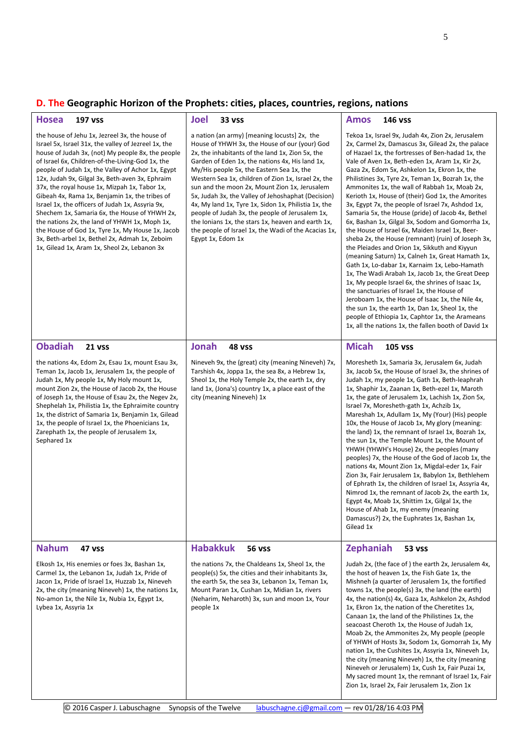# **D. The Geographic Horizon of the Prophets: cities, places, countries, regions, nations**

| <b>Hosea</b><br><b>197 vss</b>                                                                                                                                                                                                                                                                                                                                                                                                                                                                                                                                                                                                                                                                                                         | <b>Joel</b><br><b>33 VSS</b>                                                                                                                                                                                                                                                                                                                                                                                                                                                                                                                                                                                                                                  | <b>Amos</b><br>146 vss                                                                                                                                                                                                                                                                                                                                                                                                                                                                                                                                                                                                                                                                                                                                                                                                                                                                                                                                                                                                                                                                                                                                                                                                          |
|----------------------------------------------------------------------------------------------------------------------------------------------------------------------------------------------------------------------------------------------------------------------------------------------------------------------------------------------------------------------------------------------------------------------------------------------------------------------------------------------------------------------------------------------------------------------------------------------------------------------------------------------------------------------------------------------------------------------------------------|---------------------------------------------------------------------------------------------------------------------------------------------------------------------------------------------------------------------------------------------------------------------------------------------------------------------------------------------------------------------------------------------------------------------------------------------------------------------------------------------------------------------------------------------------------------------------------------------------------------------------------------------------------------|---------------------------------------------------------------------------------------------------------------------------------------------------------------------------------------------------------------------------------------------------------------------------------------------------------------------------------------------------------------------------------------------------------------------------------------------------------------------------------------------------------------------------------------------------------------------------------------------------------------------------------------------------------------------------------------------------------------------------------------------------------------------------------------------------------------------------------------------------------------------------------------------------------------------------------------------------------------------------------------------------------------------------------------------------------------------------------------------------------------------------------------------------------------------------------------------------------------------------------|
| the house of Jehu 1x, Jezreel 3x, the house of<br>Israel 5x, Israel 31x, the valley of Jezreel 1x, the<br>house of Judah 3x, (not) My people 8x, the people<br>of Israel 6x, Children-of-the-Living-God 1x, the<br>people of Judah 1x, the Valley of Achor 1x, Egypt<br>12x, Judah 9x, Gilgal 3x, Beth-aven 3x, Ephraim<br>37x, the royal house 1x, Mizpah 1x, Tabor 1x,<br>Gibeah 4x, Rama 1x, Benjamin 1x, the tribes of<br>Israel 1x, the officers of Judah 1x, Assyria 9x,<br>Shechem 1x, Samaria 6x, the House of YHWH 2x,<br>the nations 2x, the land of YHWH 1x, Moph 1x,<br>the House of God 1x, Tyre 1x, My House 1x, Jacob<br>3x, Beth-arbel 1x, Bethel 2x, Admah 1x, Zeboim<br>1x, Gilead 1x, Aram 1x, Sheol 2x, Lebanon 3x | a nation (an army) [meaning locusts] 2x, the<br>House of YHWH 3x, the House of our (your) God<br>2x, the inhabitants of the land 1x, Zion 5x, the<br>Garden of Eden 1x, the nations 4x, His land 1x,<br>My/His people 5x, the Eastern Sea 1x, the<br>Western Sea 1x, children of Zion 1x, Israel 2x, the<br>sun and the moon 2x, Mount Zion 1x, Jerusalem<br>5x, Judah 3x, the Valley of Jehoshaphat (Decision)<br>4x, My land 1x, Tyre 1x, Sidon 1x, Philistia 1x, the<br>people of Judah 3x, the people of Jerusalem 1x,<br>the Ionians 1x, the stars 1x, heaven and earth 1x,<br>the people of Israel 1x, the Wadi of the Acacias 1x,<br>Egypt 1x, Edom 1x | Tekoa 1x, Israel 9x, Judah 4x, Zion 2x, Jerusalem<br>2x, Carmel 2x, Damascus 3x, Gilead 2x, the palace<br>of Hazael 1x, the fortresses of Ben-hadad 1x, the<br>Vale of Aven 1x, Beth-eden 1x, Aram 1x, Kir 2x,<br>Gaza 2x, Edom 5x, Ashkelon 1x, Ekron 1x, the<br>Philistines 3x, Tyre 2x, Teman 1x, Bozrah 1x, the<br>Ammonites 1x, the wall of Rabbah 1x, Moab 2x,<br>Kerioth 1x, House of (their) God 1x, the Amorites<br>3x, Egypt 7x, the people of Israel 7x, Ashdod 1x,<br>Samaria 5x, the House (pride) of Jacob 4x, Bethel<br>6x, Bashan 1x, Gilgal 3x, Sodom and Gomorrha 1x,<br>the House of Israel 6x, Maiden Israel 1x, Beer-<br>sheba 2x, the House (remnant) (ruin) of Joseph 3x,<br>the Pleiades and Orion 1x, Sikkuth and Kiyyun<br>(meaning Saturn) 1x, Calneh 1x, Great Hamath 1x,<br>Gath 1x, Lo-dabar 1x, Karnaim 1x, Lebo-Hamath<br>1x, The Wadi Arabah 1x, Jacob 1x, the Great Deep<br>1x, My people Israel 6x, the shrines of Isaac 1x,<br>the sanctuaries of Israel 1x, the House of<br>Jeroboam 1x, the House of Isaac 1x, the Nile 4x,<br>the sun 1x, the earth 1x, Dan 1x, Sheol 1x, the<br>people of Ethiopia 1x, Caphtor 1x, the Arameans<br>1x, all the nations 1x, the fallen booth of David 1x |
| <b>Obadiah</b><br><b>21 vss</b>                                                                                                                                                                                                                                                                                                                                                                                                                                                                                                                                                                                                                                                                                                        | <b>Jonah</b><br>48 vss                                                                                                                                                                                                                                                                                                                                                                                                                                                                                                                                                                                                                                        | <b>Micah</b><br><b>105 vss</b>                                                                                                                                                                                                                                                                                                                                                                                                                                                                                                                                                                                                                                                                                                                                                                                                                                                                                                                                                                                                                                                                                                                                                                                                  |
| the nations 4x, Edom 2x, Esau 1x, mount Esau 3x,<br>Teman 1x, Jacob 1x, Jerusalem 1x, the people of<br>Judah 1x, My people 1x, My Holy mount 1x,<br>mount Zion 2x, the House of Jacob 2x, the House<br>of Joseph 1x, the House of Esau 2x, the Negev 2x,<br>Shephelah 1x, Philistia 1x, the Ephraimite country<br>1x, the district of Samaria 1x, Benjamin 1x, Gilead<br>1x, the people of Israel 1x, the Phoenicians 1x,<br>Zarephath 1x, the people of Jerusalem 1x,<br>Sephared 1x                                                                                                                                                                                                                                                  | Nineveh 9x, the (great) city (meaning Nineveh) 7x,<br>Tarshish 4x, Joppa 1x, the sea 8x, a Hebrew 1x,<br>Sheol 1x, the Holy Temple 2x, the earth 1x, dry<br>land 1x, (Jona's) country 1x, a place east of the<br>city (meaning Nineveh) 1x                                                                                                                                                                                                                                                                                                                                                                                                                    | Moresheth 1x, Samaria 3x, Jerusalem 6x, Judah<br>3x, Jacob 5x, the House of Israel 3x, the shrines of<br>Judah 1x, my people 1x, Gath 1x, Beth-leaphrah<br>1x, Shaphir 1x, Zaanan 1x, Beth-ezel 1x, Maroth<br>1x, the gate of Jerusalem 1x, Lachish 1x, Zion 5x,<br>Israel 7x, Moresheth-gath 1x, Achzib 1x,<br>Mareshah 1x, Adullam 1x, My (Your) (His) people<br>10x, the House of Jacob 1x, My glory (meaning:<br>the land) 1x, the remnant of Israel 1x, Bozrah 1x,<br>the sun 1x, the Temple Mount 1x, the Mount of<br>YHWH (YHWH's House) 2x, the peoples (many<br>peoples) 7x, the House of the God of Jacob 1x, the<br>nations 4x, Mount Zion 1x, Migdal-eder 1x, Fair<br>Zion 3x, Fair Jerusalem 1x, Babylon 1x, Bethlehem<br>of Ephrath 1x, the children of Israel 1x, Assyria 4x,<br>Nimrod 1x, the remnant of Jacob 2x, the earth 1x,<br>Egypt 4x, Moab 1x, Shittim 1x, Gilgal 1x, the<br>House of Ahab 1x, my enemy (meaning<br>Damascus?) 2x, the Euphrates 1x, Bashan 1x,<br>Gilead 1x                                                                                                                                                                                                                           |
| <b>Nahum</b><br>47 vss                                                                                                                                                                                                                                                                                                                                                                                                                                                                                                                                                                                                                                                                                                                 | <b>Habakkuk</b><br><b>56 vss</b>                                                                                                                                                                                                                                                                                                                                                                                                                                                                                                                                                                                                                              | Zephaniah<br><b>53 vss</b>                                                                                                                                                                                                                                                                                                                                                                                                                                                                                                                                                                                                                                                                                                                                                                                                                                                                                                                                                                                                                                                                                                                                                                                                      |
| Elkosh 1x, His enemies or foes 3x, Bashan 1x,<br>Carmel 1x, the Lebanon 1x, Judah 1x, Pride of<br>Jacon 1x, Pride of Israel 1x, Huzzab 1x, Nineveh<br>2x, the city (meaning Nineveh) 1x, the nations 1x,<br>No-amon 1x, the Nile 1x, Nubia 1x, Egypt 1x,<br>Lybea 1x, Assyria 1x                                                                                                                                                                                                                                                                                                                                                                                                                                                       | the nations 7x, the Chaldeans 1x, Sheol 1x, the<br>people(s) 5x, the cities and their inhabitants 3x,<br>the earth 5x, the sea 3x, Lebanon 1x, Teman 1x,<br>Mount Paran 1x, Cushan 1x, Midian 1x, rivers<br>(Neharim, Neharoth) 3x, sun and moon 1x, Your<br>people 1x                                                                                                                                                                                                                                                                                                                                                                                        | Judah 2x, (the face of) the earth 2x, Jerusalem 4x,<br>the host of heaven 1x, the Fish Gate 1x, the<br>Mishneh (a quarter of Jerusalem 1x, the fortified<br>towns 1x, the people(s) 3x, the land (the earth)<br>4x, the nation(s) 4x, Gaza 1x, Ashkelon 2x, Ashdod<br>1x, Ekron 1x, the nation of the Cheretites 1x,<br>Canaan 1x, the land of the Philistines 1x, the<br>seacoast Cheroth 1x, the House of Judah 1x,<br>Moab 2x, the Ammonites 2x, My people (people)<br>of YHWH of Hosts 3x, Sodom 1x, Gomorrah 1x, My<br>nation 1x, the Cushites 1x, Assyria 1x, Nineveh 1x,<br>the city (meaning Nineveh) 1x, the city (meaning<br>Nineveh or Jerusalem) 1x, Cush 1x, Fair Puzai 1x,<br>My sacred mount 1x, the remnant of Israel 1x, Fair<br>Zion 1x, Israel 2x, Fair Jerusalem 1x, Zion 1x                                                                                                                                                                                                                                                                                                                                                                                                                                |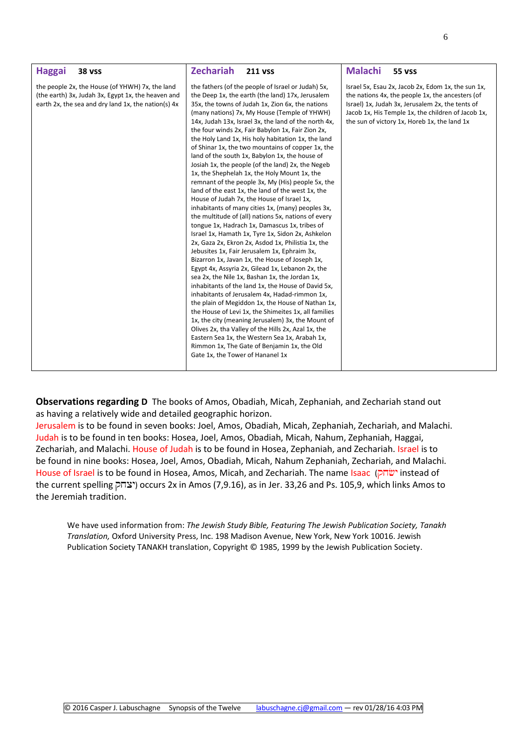| <b>Haggai</b>                                                                                                                                                | <b>Zechariah</b>                                                                                                                                                                                                                                                                                                                                                                                                                                                                                                                                                                                                                                                                                                                                                                                                                                                                                                                                                                                                                                                                                                                                                                                                                                                                                                                                                                                                                                                                                                                                                                                                                                                                                       | <b>Malachi</b>                                                                                                                                                                                                                                                   |
|--------------------------------------------------------------------------------------------------------------------------------------------------------------|--------------------------------------------------------------------------------------------------------------------------------------------------------------------------------------------------------------------------------------------------------------------------------------------------------------------------------------------------------------------------------------------------------------------------------------------------------------------------------------------------------------------------------------------------------------------------------------------------------------------------------------------------------------------------------------------------------------------------------------------------------------------------------------------------------------------------------------------------------------------------------------------------------------------------------------------------------------------------------------------------------------------------------------------------------------------------------------------------------------------------------------------------------------------------------------------------------------------------------------------------------------------------------------------------------------------------------------------------------------------------------------------------------------------------------------------------------------------------------------------------------------------------------------------------------------------------------------------------------------------------------------------------------------------------------------------------------|------------------------------------------------------------------------------------------------------------------------------------------------------------------------------------------------------------------------------------------------------------------|
| <b>38 vss</b>                                                                                                                                                | <b>211 VSS</b>                                                                                                                                                                                                                                                                                                                                                                                                                                                                                                                                                                                                                                                                                                                                                                                                                                                                                                                                                                                                                                                                                                                                                                                                                                                                                                                                                                                                                                                                                                                                                                                                                                                                                         | <b>55 vss</b>                                                                                                                                                                                                                                                    |
| the people 2x, the House (of YHWH) 7x, the land<br>(the earth) 3x, Judah 3x, Egypt 1x, the heaven and<br>earth 2x, the sea and dry land 1x, the nation(s) 4x | the fathers (of the people of Israel or Judah) 5x,<br>the Deep 1x, the earth (the land) 17x, Jerusalem<br>35x, the towns of Judah 1x, Zion 6x, the nations<br>(many nations) 7x, My House (Temple of YHWH)<br>14x, Judah 13x, Israel 3x, the land of the north 4x,<br>the four winds 2x, Fair Babylon 1x, Fair Zion 2x,<br>the Holy Land 1x, His holy habitation 1x, the land<br>of Shinar 1x, the two mountains of copper 1x, the<br>land of the south 1x, Babylon 1x, the house of<br>Josiah 1x, the people (of the land) 2x, the Negeb<br>1x, the Shephelah 1x, the Holy Mount 1x, the<br>remnant of the people 3x, My (His) people 5x, the<br>land of the east 1x, the land of the west 1x, the<br>House of Judah 7x, the House of Israel 1x,<br>inhabitants of many cities 1x, (many) peoples 3x,<br>the multitude of (all) nations 5x, nations of every<br>tongue 1x, Hadrach 1x, Damascus 1x, tribes of<br>Israel 1x, Hamath 1x, Tyre 1x, Sidon 2x, Ashkelon<br>2x, Gaza 2x, Ekron 2x, Asdod 1x, Philistia 1x, the<br>Jebusites 1x, Fair Jerusalem 1x, Ephraim 3x,<br>Bizarron 1x, Javan 1x, the House of Joseph 1x,<br>Egypt 4x, Assyria 2x, Gilead 1x, Lebanon 2x, the<br>sea 2x, the Nile 1x, Bashan 1x, the Jordan 1x,<br>inhabitants of the land 1x, the House of David 5x,<br>inhabitants of Jerusalem 4x, Hadad-rimmon 1x,<br>the plain of Megiddon 1x, the House of Nathan 1x,<br>the House of Levi 1x, the Shimeites 1x, all families<br>1x, the city (meaning Jerusalem) 3x, the Mount of<br>Olives 2x, tha Valley of the Hills 2x, Azal 1x, the<br>Eastern Sea 1x, the Western Sea 1x, Arabah 1x,<br>Rimmon 1x, The Gate of Benjamin 1x, the Old<br>Gate 1x, the Tower of Hananel 1x | Israel 5x, Esau 2x, Jacob 2x, Edom 1x, the sun 1x,<br>the nations 4x, the people 1x, the ancesters (of<br>Israel) 1x, Judah 3x, Jerusalem 2x, the tents of<br>Jacob 1x, His Temple 1x, the children of Jacob 1x,<br>the sun of victory 1x, Horeb 1x, the land 1x |

**Observations regarding D** The books of Amos, Obadiah, Micah, Zephaniah, and Zechariah stand out as having a relatively wide and detailed geographic horizon.

Jerusalem is to be found in seven books: Joel, Amos, Obadiah, Micah, Zephaniah, Zechariah, and Malachi. Judah is to be found in ten books: Hosea, Joel, Amos, Obadiah, Micah, Nahum, Zephaniah, Haggai, Zechariah, and Malachi. House of Judah is to be found in Hosea, Zephaniah, and Zechariah. Israel is to be found in nine books: Hosea, Joel, Amos, Obadiah, Micah, Nahum Zephaniah, Zechariah, and Malachi. House of Israel is to be found in Hosea, Amos, Micah, and Zechariah. The name Isaac (שׂחק) instead of the current spelling יצחק) occurs 2x in Amos (7,9.16), as in Jer. 33,26 and Ps. 105,9, which links Amos to the Jeremiah tradition.

We have used information from: *The Jewish Study Bible, Featuring The Jewish Publication Society, Tanakh Translation,* Oxford University Press, Inc. 198 Madison Avenue, New York, New York 10016. Jewish Publication Society TANAKH translation, Copyright © 1985, 1999 by the Jewish Publication Society.

© 2016 Casper J. Labuschagne Synopsis of the Twelve labuschagne.cj@gmail.com — rev 01/28/16 4:03 PM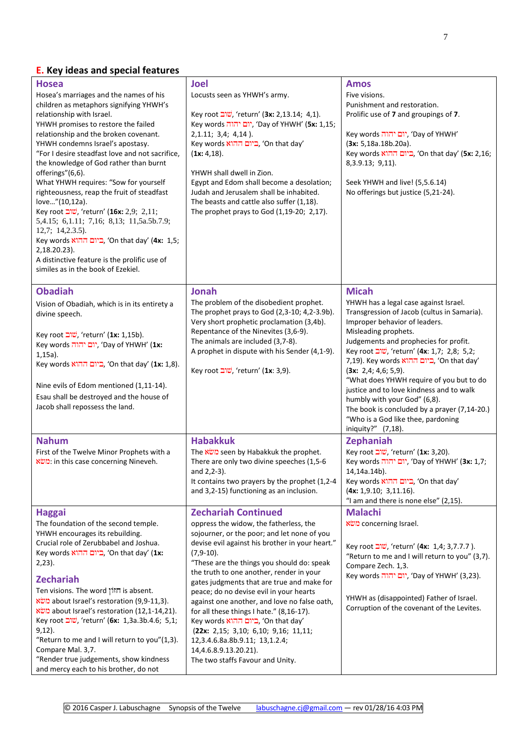# **E. Key ideas and special features**

| <b>Hosea</b><br>Hosea's marriages and the names of his<br>children as metaphors signifying YHWH's<br>relationship with Israel.<br>YHWH promises to restore the failed<br>relationship and the broken covenant.<br>YHWH condemns Israel's apostasy.<br>"For I desire steadfast love and not sacrifice,<br>the knowledge of God rather than burnt<br>offerings"(6,6).<br>What YHWH requires: "Sow for yourself<br>righteousness, reap the fruit of steadfast<br>love"(10,12a).<br>Key root שוב, 'return' (16x: 2,9; 2,11;<br>5,4.15; 6,1.11; 7,16; 8,13; 11,5a.5b.7.9;<br>$12,7; 14,2.3.5$ ).<br>Key words ההוא, 'On that day' (4x: 1,5;<br>2,18.20.23).<br>A distinctive feature is the prolific use of<br>similes as in the book of Ezekiel. | <b>Joel</b><br>Locusts seen as YHWH's army.<br>Key root שוב, 'return' (3x: 2,13.14; 4,1).<br>Key words יום יהוה, 'Day of YHWH' (5x: 1,15;<br>$2, 1.11; 3, 4; 4, 14$ .<br>Key words ביום ההוא, 'On that day'<br>(1x: 4, 18).<br>YHWH shall dwell in Zion.<br>Egypt and Edom shall become a desolation;<br>Judah and Jerusalem shall be inhabited.<br>The beasts and cattle also suffer (1,18).<br>The prophet prays to God (1,19-20; 2,17).                                                                                                                                                                                                         | <b>Amos</b><br>Five visions.<br>Punishment and restoration.<br>Prolific use of 7 and groupings of 7.<br>Key words יום יהוה, 'Day of YHWH'<br>(3x: 5, 18a.18b.20a).<br>Key words ההוא, 'On that day' (5x: 2,16;<br>8, 3. 9. 13; 9, 11).<br>Seek YHWH and live! (5,5.6.14)<br>No offerings but justice (5,21-24).                                                                                                                                                                                                                                               |
|----------------------------------------------------------------------------------------------------------------------------------------------------------------------------------------------------------------------------------------------------------------------------------------------------------------------------------------------------------------------------------------------------------------------------------------------------------------------------------------------------------------------------------------------------------------------------------------------------------------------------------------------------------------------------------------------------------------------------------------------|----------------------------------------------------------------------------------------------------------------------------------------------------------------------------------------------------------------------------------------------------------------------------------------------------------------------------------------------------------------------------------------------------------------------------------------------------------------------------------------------------------------------------------------------------------------------------------------------------------------------------------------------------|---------------------------------------------------------------------------------------------------------------------------------------------------------------------------------------------------------------------------------------------------------------------------------------------------------------------------------------------------------------------------------------------------------------------------------------------------------------------------------------------------------------------------------------------------------------|
| <b>Obadiah</b><br>Vision of Obadiah, which is in its entirety a<br>divine speech.<br>Key root שוב, 'return' (1x: 1,15b).<br>Key words יום יהוה, 'Day of YHWH' (1x:<br>$1,15a$ ).<br>Key words ההוא, 'On that day' (1x: 1,8).<br>Nine evils of Edom mentioned (1,11-14).<br>Esau shall be destroyed and the house of<br>Jacob shall repossess the land.                                                                                                                                                                                                                                                                                                                                                                                       | Jonah<br>The problem of the disobedient prophet.<br>The prophet prays to God (2,3-10; 4,2-3.9b).<br>Very short prophetic proclamation (3,4b).<br>Repentance of the Ninevites (3,6-9).<br>The animals are included (3,7-8).<br>A prophet in dispute with his Sender (4,1-9).<br>Key root שוב, 'return' (1x: 3,9).                                                                                                                                                                                                                                                                                                                                   | <b>Micah</b><br>YHWH has a legal case against Israel.<br>Transgression of Jacob (cultus in Samaria).<br>Improper behavior of leaders.<br>Misleading prophets.<br>Judgements and prophecies for profit.<br>Key root שוב, 'return' (4x: 1,7; 2,8; 5,2;<br>7,19). Key words ביום ההוא, 'On that day'<br>(3x: 2,4; 4,6; 5,9).<br>"What does YHWH require of you but to do<br>justice and to love kindness and to walk<br>humbly with your God" (6,8).<br>The book is concluded by a prayer (7,14-20.)<br>"Who is a God like thee, pardoning<br>iniquity?" (7,18). |
| <b>Nahum</b><br>First of the Twelve Minor Prophets with a<br>in this case concerning Nineveh.                                                                                                                                                                                                                                                                                                                                                                                                                                                                                                                                                                                                                                                | <b>Habakkuk</b><br>The משׁא seen by Habakkuk the prophet.<br>There are only two divine speeches (1,5-6<br>and 2,2-3).<br>It contains two prayers by the prophet (1,2-4<br>and 3,2-15) functioning as an inclusion.                                                                                                                                                                                                                                                                                                                                                                                                                                 | <b>Zephaniah</b><br>Key root <i>שוב</i> , 'return' (1x: 3,20).<br>Key words יום יהוה, 'Day of YHWH' (3x: 1,7;<br>14,14a.14b).<br>Key words ביום ההוא, 'On that day'<br>(4x: 1, 9.10; 3, 11.16).<br>"I am and there is none else" (2,15).                                                                                                                                                                                                                                                                                                                      |
| <b>Haggai</b><br>The foundation of the second temple.<br>YHWH encourages its rebuilding.<br>Crucial role of Zerubbabel and Joshua.<br>Key words ההוא, 'On that day' (1x:<br>$2,23$ ).<br><b>Zechariah</b><br>Ten visions. The word חזון is absent.<br>about Israel's restoration (9,9-11,3).<br>about Israel's restoration (12,1-14,21).<br>Key root שוב, 'return' (6x: 1,3a.3b.4.6; 5,1;<br>$9,12$ ).<br>"Return to me and I will return to you"(1,3).<br>Compare Mal. 3,7.<br>"Render true judgements, show kindness<br>and mercy each to his brother, do not                                                                                                                                                                              | <b>Zechariah Continued</b><br>oppress the widow, the fatherless, the<br>sojourner, or the poor; and let none of you<br>devise evil against his brother in your heart."<br>$(7,9-10)$ .<br>"These are the things you should do: speak<br>the truth to one another, render in your<br>gates judgments that are true and make for<br>peace; do no devise evil in your hearts<br>against one another, and love no false oath,<br>for all these things I hate." (8,16-17).<br>Key words ביום ההוא, 'On that day'<br>(22x: 2,15; 3,10; 6,10; 9,16; 11,11;<br>12,3.4.6.8a.8b.9.11; 13,1.2.4;<br>14,4.6.8.9.13.20.21).<br>The two staffs Favour and Unity. | <b>Malachi</b><br>concerning Israel.<br>Key root שוב, 'return' (4x: 1,4; 3,7.7.7).<br>"Return to me and I will return to you" (3,7).<br>Compare Zech. 1,3.<br>Key words יום יהוה, 'Day of YHWH' (3,23).<br>YHWH as (disappointed) Father of Israel.<br>Corruption of the covenant of the Levites.                                                                                                                                                                                                                                                             |